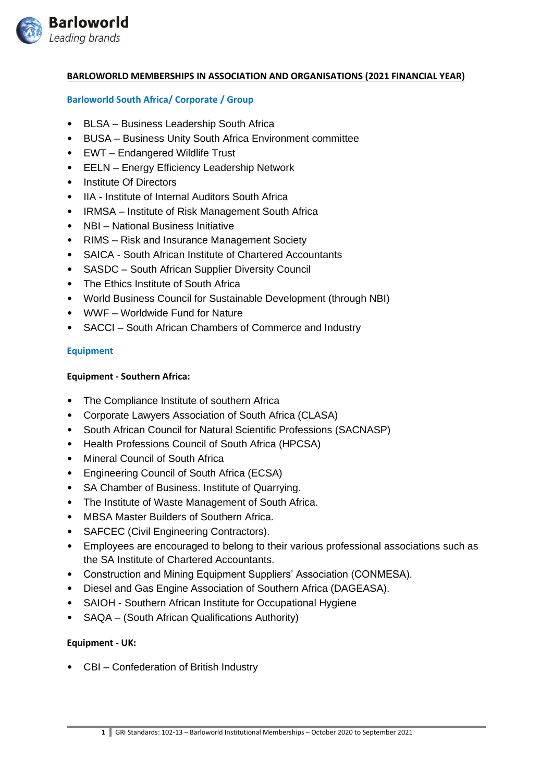

## **BARLOWORLD MEMBERSHIPS IN ASSOCIATION AND ORGANISATIONS (2021 FINANCIAL YEAR)**

## **Barloworld South Africa/ Corporate / Group**

- BLSA Business Leadership South Africa
- BUSA Business Unity South Africa Environment committee
- EWT Endangered Wildlife Trust
- EELN Energy Efficiency Leadership Network
- Institute Of Directors
- IIA Institute of Internal Auditors South Africa
- IRMSA Institute of Risk Management South Africa
- NBI National Business Initiative
- RIMS Risk and Insurance Management Society
- SAICA South African Institute of Chartered Accountants
- SASDC South African Supplier Diversity Council
- The Ethics Institute of South Africa
- World Business Council for Sustainable Development (through NBI)
- WWF Worldwide Fund for Nature
- SACCI South African Chambers of Commerce and Industry

## **Equipment**

#### **Equipment - Southern Africa:**

- The Compliance Institute of southern Africa
- Corporate Lawyers Association of South Africa (CLASA)
- South African Council for Natural Scientific Professions (SACNASP)
- Health Professions Council of South Africa (HPCSA)
- Mineral Council of South Africa
- Engineering Council of South Africa (ECSA)
- SA Chamber of Business. Institute of Quarrying.
- The Institute of Waste Management of South Africa.
- MBSA Master Builders of Southern Africa.
- SAFCEC (Civil Engineering Contractors).
- Employees are encouraged to belong to their various professional associations such as the SA Institute of Chartered Accountants.
- Construction and Mining Equipment Suppliers' Association (CONMESA).
- Diesel and Gas Engine Association of Southern Africa (DAGEASA).
- SAIOH [Southern African Institute for Occupational Hygiene](https://www.saioh.co.za/)
- SAQA (South African Qualifications Authority)

## **Equipment - UK:**

• CBI – Confederation of British Industry